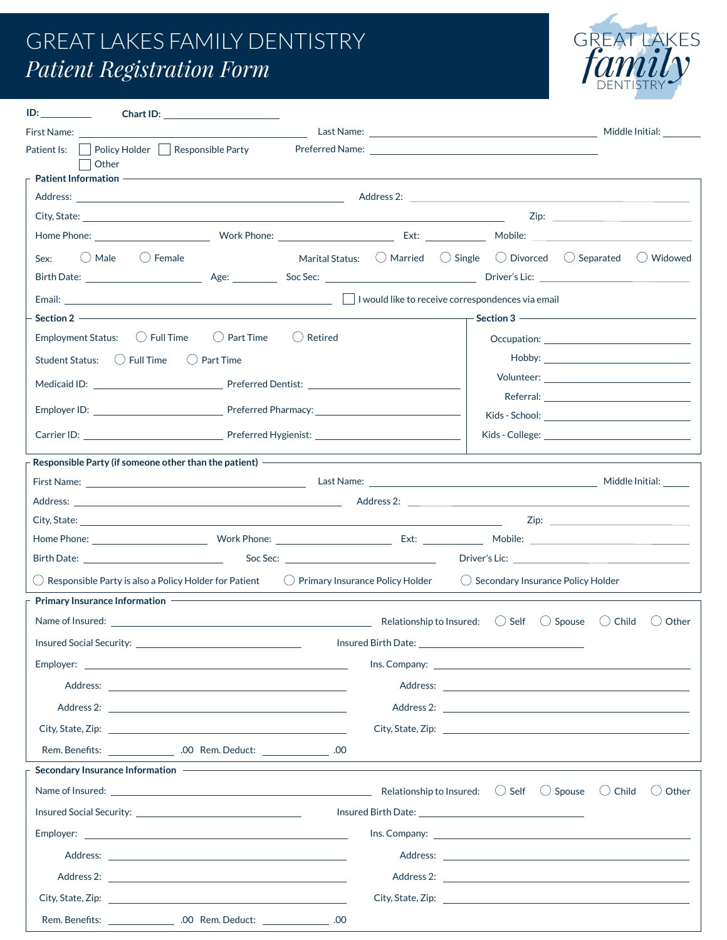## GREAT LAKES FAMILY DENTISTRY *Patient Registration Form*



| $ID:$ $I = \{I, I\}$<br>Chart ID:                                                                                                                                                                                              |                                                                                                                                                                                                                                                             |                                                                                                                                                                                                                                |  |                                              |                   |                  |                 |
|--------------------------------------------------------------------------------------------------------------------------------------------------------------------------------------------------------------------------------|-------------------------------------------------------------------------------------------------------------------------------------------------------------------------------------------------------------------------------------------------------------|--------------------------------------------------------------------------------------------------------------------------------------------------------------------------------------------------------------------------------|--|----------------------------------------------|-------------------|------------------|-----------------|
|                                                                                                                                                                                                                                |                                                                                                                                                                                                                                                             |                                                                                                                                                                                                                                |  |                                              |                   |                  | Middle Initial: |
| Patient Is:                                                                                                                                                                                                                    | $\Box$ Policy Holder $\Box$ Responsible Party                                                                                                                                                                                                               | Preferred Name: The Second Second Second Second Second Second Second Second Second Second Second Second Second Second Second Second Second Second Second Second Second Second Second Second Second Second Second Second Second |  |                                              |                   |                  |                 |
| Other<br><b>Patient Information -</b>                                                                                                                                                                                          |                                                                                                                                                                                                                                                             |                                                                                                                                                                                                                                |  |                                              |                   |                  |                 |
|                                                                                                                                                                                                                                | Address: Andress: Address: Address: Address: Address: Address: Address: Address: Address: Address: Address: Address: Address: Address: Address: Address: Address: Address: Address: Address: Address: Address: Address: Addres                              |                                                                                                                                                                                                                                |  |                                              |                   |                  |                 |
|                                                                                                                                                                                                                                |                                                                                                                                                                                                                                                             |                                                                                                                                                                                                                                |  |                                              | Zip:              |                  |                 |
|                                                                                                                                                                                                                                |                                                                                                                                                                                                                                                             |                                                                                                                                                                                                                                |  |                                              |                   |                  |                 |
| $\bigcirc$ Male<br>Sex:                                                                                                                                                                                                        | $\bigcirc$ Female                                                                                                                                                                                                                                           | Marital Status: $\bigcirc$ Married $\bigcirc$ Single $\bigcirc$ Divorced $\bigcirc$ Separated $\bigcirc$ Widowed                                                                                                               |  |                                              |                   |                  |                 |
|                                                                                                                                                                                                                                |                                                                                                                                                                                                                                                             |                                                                                                                                                                                                                                |  |                                              |                   |                  |                 |
|                                                                                                                                                                                                                                |                                                                                                                                                                                                                                                             |                                                                                                                                                                                                                                |  |                                              |                   |                  |                 |
|                                                                                                                                                                                                                                | Email:  La vould like to receive correspondences via email in the state of the state of the state of the state of the state of the state of the state of the state of the state of the state of the state of the state of the<br>Section 2<br>$-$ Section 3 |                                                                                                                                                                                                                                |  |                                              |                   |                  |                 |
| Employment Status: $\bigcirc$ Full Time                                                                                                                                                                                        | $\bigcirc$ Part Time                                                                                                                                                                                                                                        | $\bigcirc$ Retired                                                                                                                                                                                                             |  |                                              |                   |                  |                 |
|                                                                                                                                                                                                                                | () Part Time                                                                                                                                                                                                                                                |                                                                                                                                                                                                                                |  |                                              |                   |                  |                 |
| Medicaid ID: Nedicaid ID: Nedicaid ID: Nedicaid ID: Nedicaid ID: Nedical Association of the Medicaid ID: Nedical Association of the Medicaid ID: Nedical Association of the Medical Association of the Medicaid ID: Nedical As |                                                                                                                                                                                                                                                             |                                                                                                                                                                                                                                |  |                                              |                   |                  |                 |
|                                                                                                                                                                                                                                |                                                                                                                                                                                                                                                             | Referral: and the state of the state of the state of the state of the state of the state of the state of the state of the state of the state of the state of the state of the state of the state of the state of the state of  |  |                                              |                   |                  |                 |
|                                                                                                                                                                                                                                |                                                                                                                                                                                                                                                             |                                                                                                                                                                                                                                |  |                                              |                   |                  |                 |
|                                                                                                                                                                                                                                |                                                                                                                                                                                                                                                             |                                                                                                                                                                                                                                |  |                                              |                   |                  |                 |
|                                                                                                                                                                                                                                | Responsible Party (if someone other than the patient) - - - - - - - - - - - - - -                                                                                                                                                                           |                                                                                                                                                                                                                                |  |                                              |                   |                  |                 |
|                                                                                                                                                                                                                                |                                                                                                                                                                                                                                                             |                                                                                                                                                                                                                                |  |                                              |                   |                  |                 |
|                                                                                                                                                                                                                                |                                                                                                                                                                                                                                                             |                                                                                                                                                                                                                                |  |                                              |                   |                  |                 |
|                                                                                                                                                                                                                                | City, State: <u>Andreas Andreas Andreas Andreas Andreas Andreas Andreas Andreas Andreas Andreas Andreas Andreas Andreas Andreas Andreas Andreas Andreas Andreas Andreas Andreas Andreas Andreas Andreas Andreas Andreas Andreas </u>                        |                                                                                                                                                                                                                                |  |                                              |                   |                  |                 |
|                                                                                                                                                                                                                                |                                                                                                                                                                                                                                                             |                                                                                                                                                                                                                                |  |                                              |                   |                  |                 |
|                                                                                                                                                                                                                                |                                                                                                                                                                                                                                                             |                                                                                                                                                                                                                                |  |                                              |                   |                  |                 |
| $\bigcirc$ Responsible Party is also a Policy Holder for Patient                                                                                                                                                               |                                                                                                                                                                                                                                                             | $\bigcirc$ Primary Insurance Policy Holder                                                                                                                                                                                     |  | $\bigcirc$ Secondary Insurance Policy Holder |                   |                  |                 |
| Primary Insurance Information                                                                                                                                                                                                  |                                                                                                                                                                                                                                                             |                                                                                                                                                                                                                                |  |                                              |                   |                  |                 |
|                                                                                                                                                                                                                                | Name of Insured: $\qquad \qquad$ Self                                                                                                                                                                                                                       |                                                                                                                                                                                                                                |  |                                              | $\bigcirc$ Spouse | $\bigcirc$ Child | ◯ Other         |
| Insured Social Security:                                                                                                                                                                                                       |                                                                                                                                                                                                                                                             | Insured Birth Date: 1988                                                                                                                                                                                                       |  |                                              |                   |                  |                 |
|                                                                                                                                                                                                                                |                                                                                                                                                                                                                                                             |                                                                                                                                                                                                                                |  |                                              |                   |                  |                 |
|                                                                                                                                                                                                                                |                                                                                                                                                                                                                                                             |                                                                                                                                                                                                                                |  |                                              |                   |                  |                 |
|                                                                                                                                                                                                                                |                                                                                                                                                                                                                                                             |                                                                                                                                                                                                                                |  |                                              |                   |                  |                 |
|                                                                                                                                                                                                                                |                                                                                                                                                                                                                                                             |                                                                                                                                                                                                                                |  |                                              |                   |                  |                 |
|                                                                                                                                                                                                                                | Rem. Benefits: _______________.00 Rem. Deduct: ____________.00                                                                                                                                                                                              |                                                                                                                                                                                                                                |  |                                              |                   |                  |                 |
| Secondary Insurance Information -                                                                                                                                                                                              |                                                                                                                                                                                                                                                             |                                                                                                                                                                                                                                |  |                                              |                   |                  |                 |
|                                                                                                                                                                                                                                |                                                                                                                                                                                                                                                             |                                                                                                                                                                                                                                |  |                                              |                   |                  | ◯ Other         |
|                                                                                                                                                                                                                                |                                                                                                                                                                                                                                                             |                                                                                                                                                                                                                                |  |                                              |                   |                  |                 |
|                                                                                                                                                                                                                                |                                                                                                                                                                                                                                                             |                                                                                                                                                                                                                                |  |                                              |                   |                  |                 |
|                                                                                                                                                                                                                                |                                                                                                                                                                                                                                                             |                                                                                                                                                                                                                                |  |                                              |                   |                  |                 |
|                                                                                                                                                                                                                                |                                                                                                                                                                                                                                                             |                                                                                                                                                                                                                                |  |                                              |                   |                  |                 |
|                                                                                                                                                                                                                                |                                                                                                                                                                                                                                                             |                                                                                                                                                                                                                                |  |                                              |                   |                  |                 |
|                                                                                                                                                                                                                                |                                                                                                                                                                                                                                                             |                                                                                                                                                                                                                                |  |                                              |                   |                  |                 |
| Rem. Benefits:                                                                                                                                                                                                                 | .00 Rem. Deduct:                                                                                                                                                                                                                                            | .00                                                                                                                                                                                                                            |  |                                              |                   |                  |                 |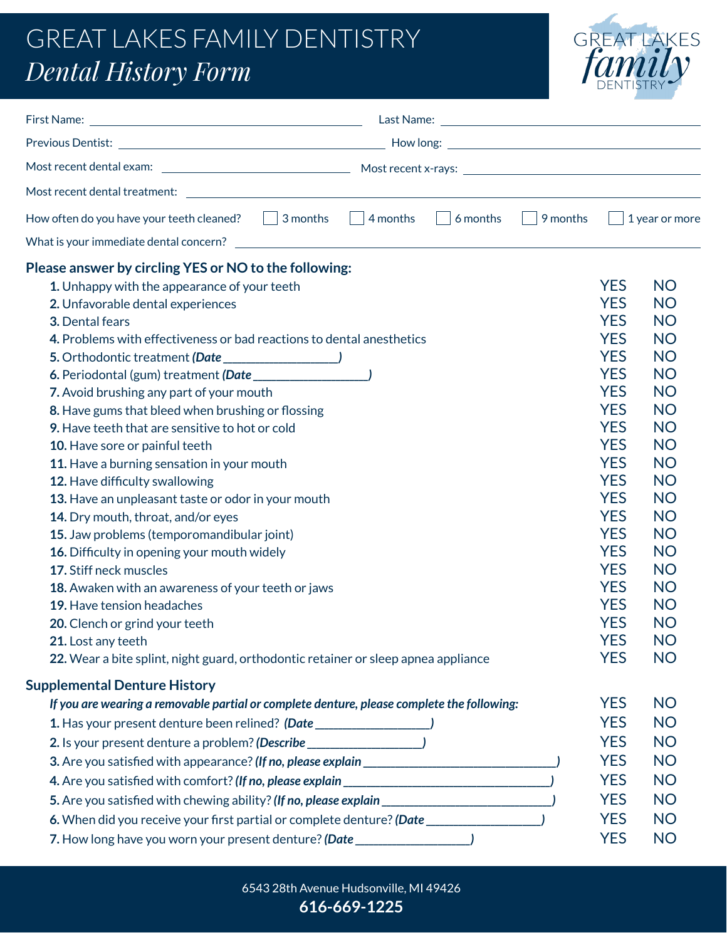## GREAT LAKES FAMILY DENTISTRY *Dental History Form*



| How often do you have your teeth cleaned? $\Box$ 3 months $\Box$ 4 months $\Box$ 6 months             | $\vert$ 9 months | $\mathbf{1}$ | 1 year or more |
|-------------------------------------------------------------------------------------------------------|------------------|--------------|----------------|
|                                                                                                       |                  |              |                |
| Please answer by circling YES or NO to the following:                                                 |                  |              |                |
| 1. Unhappy with the appearance of your teeth                                                          |                  | <b>YES</b>   | <b>NO</b>      |
| 2. Unfavorable dental experiences                                                                     |                  | <b>YES</b>   | <b>NO</b>      |
| 3. Dental fears                                                                                       |                  | <b>YES</b>   | <b>NO</b>      |
| 4. Problems with effectiveness or bad reactions to dental anesthetics                                 |                  | <b>YES</b>   | <b>NO</b>      |
|                                                                                                       |                  | <b>YES</b>   | <b>NO</b>      |
|                                                                                                       |                  | <b>YES</b>   | <b>NO</b>      |
| 7. Avoid brushing any part of your mouth                                                              |                  | <b>YES</b>   | <b>NO</b>      |
| 8. Have gums that bleed when brushing or flossing                                                     |                  | <b>YES</b>   | <b>NO</b>      |
| 9. Have teeth that are sensitive to hot or cold                                                       |                  | <b>YES</b>   | <b>NO</b>      |
| 10. Have sore or painful teeth                                                                        |                  | <b>YES</b>   | <b>NO</b>      |
| 11. Have a burning sensation in your mouth                                                            |                  | <b>YES</b>   | <b>NO</b>      |
| 12. Have difficulty swallowing                                                                        |                  | <b>YES</b>   | <b>NO</b>      |
| 13. Have an unpleasant taste or odor in your mouth                                                    |                  | <b>YES</b>   | <b>NO</b>      |
| 14. Dry mouth, throat, and/or eyes                                                                    |                  | <b>YES</b>   | <b>NO</b>      |
| 15. Jaw problems (temporomandibular joint)                                                            |                  | <b>YES</b>   | <b>NO</b>      |
| 16. Difficulty in opening your mouth widely                                                           |                  | <b>YES</b>   | <b>NO</b>      |
| 17. Stiff neck muscles                                                                                |                  | <b>YES</b>   | <b>NO</b>      |
| 18. Awaken with an awareness of your teeth or jaws                                                    |                  | <b>YES</b>   | <b>NO</b>      |
| 19. Have tension headaches                                                                            |                  | <b>YES</b>   | <b>NO</b>      |
| 20. Clench or grind your teeth                                                                        |                  | <b>YES</b>   | <b>NO</b>      |
| <b>21.</b> Lost any teeth                                                                             |                  | <b>YES</b>   | <b>NO</b>      |
| 22. Wear a bite splint, night guard, orthodontic retainer or sleep apnea appliance                    |                  | <b>YES</b>   | <b>NO</b>      |
| <b>Supplemental Denture History</b>                                                                   |                  |              |                |
| If you are wearing a removable partial or complete denture, please complete the following:            |                  | <b>YES</b>   | <b>NO</b>      |
| 1. Has your present denture been relined? (Date ________________________________                      |                  | <b>YES</b>   | <b>NO</b>      |
| 2. Is your present denture a problem? (Describe ________________________________                      |                  | <b>YES</b>   | <b>NO</b>      |
|                                                                                                       |                  | <b>YES</b>   | <b>NO</b>      |
|                                                                                                       |                  | <b>YES</b>   | <b>NO</b>      |
| 5. Are you satisfied with chewing ability? (If no, please explain __________________________________) |                  | <b>YES</b>   | <b>NO</b>      |
| 6. When did you receive your first partial or complete denture? (Date __________________)             |                  | <b>YES</b>   | <b>NO</b>      |
| 7. How long have you worn your present denture? (Date ____________________)                           |                  | <b>YES</b>   | <b>NO</b>      |